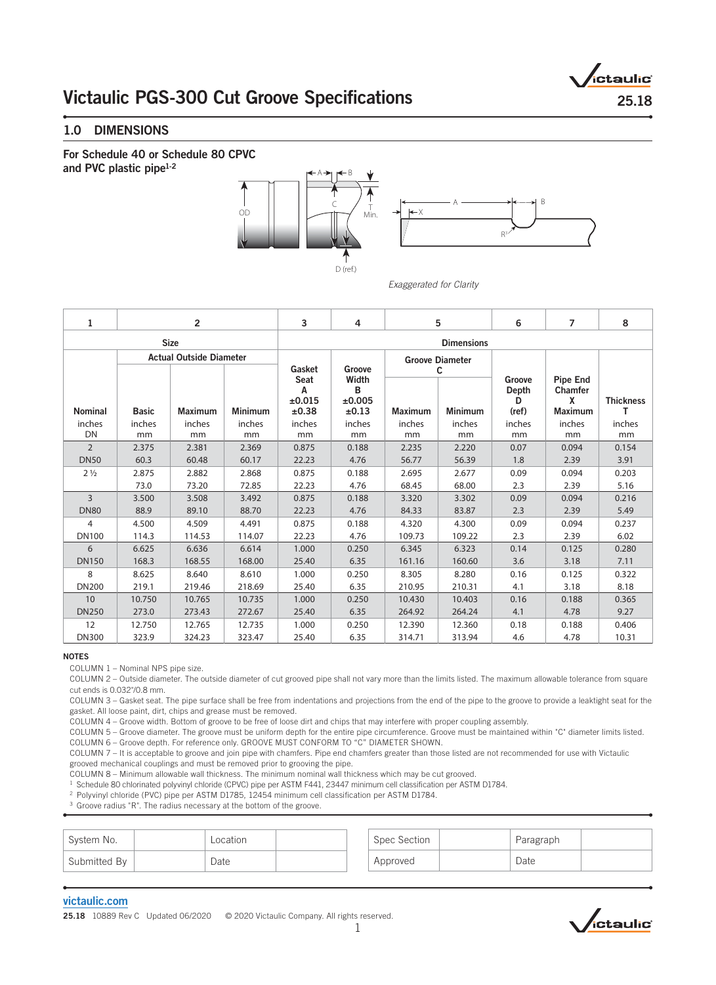# Victaulic PGS-300 Cut Groove Specifications 25.18



,<br>ictaulic°

# 1.0 DIMENSIONS

For Schedule 40 or Schedule 80 CPVC and PVC plastic pipe<sup>1-2</sup>



*Exaggerated for Clarity*

| 1              | $\overline{2}$                 |                |                | 3                            | 4                             |                             | 5              | 6                             | 7                                          | 8                |  |  |
|----------------|--------------------------------|----------------|----------------|------------------------------|-------------------------------|-----------------------------|----------------|-------------------------------|--------------------------------------------|------------------|--|--|
| <b>Size</b>    |                                |                |                | <b>Dimensions</b>            |                               |                             |                |                               |                                            |                  |  |  |
|                | <b>Actual Outside Diameter</b> |                |                | Gasket                       | Groove                        | <b>Groove Diameter</b><br>c |                |                               |                                            |                  |  |  |
| <b>Nominal</b> | <b>Basic</b>                   | <b>Maximum</b> | <b>Minimum</b> | Seat<br>Α<br>±0.015<br>±0.38 | Width<br>в<br>±0.005<br>±0.13 | <b>Maximum</b>              | <b>Minimum</b> | Groove<br>Depth<br>D<br>(ref) | Pipe End<br>Chamfer<br>X<br><b>Maximum</b> | <b>Thickness</b> |  |  |
| inches         | inches                         | inches         | inches         | inches                       | inches                        | inches                      | inches         | inches                        | inches                                     | inches           |  |  |
| DN             | mm                             | mm             | mm             | mm                           | mm                            | mm                          | mm             | mm                            | mm                                         | mm               |  |  |
| 2              | 2.375                          | 2.381          | 2.369          | 0.875                        | 0.188                         | 2.235                       | 2.220          | 0.07                          | 0.094                                      | 0.154            |  |  |
| <b>DN50</b>    | 60.3                           | 60.48          | 60.17          | 22.23                        | 4.76                          | 56.77                       | 56.39          | 1.8                           | 2.39                                       | 3.91             |  |  |
| $2\frac{1}{2}$ | 2.875                          | 2.882          | 2.868          | 0.875                        | 0.188                         | 2.695                       | 2.677          | 0.09                          | 0.094                                      | 0.203            |  |  |
|                | 73.0                           | 73.20          | 72.85          | 22.23                        | 4.76                          | 68.45                       | 68.00          | 2.3                           | 2.39                                       | 5.16             |  |  |
| 3              | 3.500                          | 3.508          | 3.492          | 0.875                        | 0.188                         | 3.320                       | 3.302          | 0.09                          | 0.094                                      | 0.216            |  |  |
| <b>DN80</b>    | 88.9                           | 89.10          | 88.70          | 22.23                        | 4.76                          | 84.33                       | 83.87          | 2.3                           | 2.39                                       | 5.49             |  |  |
| 4              | 4.500                          | 4.509          | 4.491          | 0.875                        | 0.188                         | 4.320                       | 4.300          | 0.09                          | 0.094                                      | 0.237            |  |  |
| <b>DN100</b>   | 114.3                          | 114.53         | 114.07         | 22.23                        | 4.76                          | 109.73                      | 109.22         | 2.3                           | 2.39                                       | 6.02             |  |  |
| 6              | 6.625                          | 6.636          | 6.614          | 1.000                        | 0.250                         | 6.345                       | 6.323          | 0.14                          | 0.125                                      | 0.280            |  |  |
| <b>DN150</b>   | 168.3                          | 168.55         | 168.00         | 25.40                        | 6.35                          | 161.16                      | 160.60         | 3.6                           | 3.18                                       | 7.11             |  |  |
| 8              | 8.625                          | 8.640          | 8.610          | 1.000                        | 0.250                         | 8.305                       | 8.280          | 0.16                          | 0.125                                      | 0.322            |  |  |
| <b>DN200</b>   | 219.1                          | 219.46         | 218.69         | 25.40                        | 6.35                          | 210.95                      | 210.31         | 4.1                           | 3.18                                       | 8.18             |  |  |
| 10             | 10.750                         | 10.765         | 10.735         | 1.000                        | 0.250                         | 10.430                      | 10.403         | 0.16                          | 0.188                                      | 0.365            |  |  |
| <b>DN250</b>   | 273.0                          | 273.43         | 272.67         | 25.40                        | 6.35                          | 264.92                      | 264.24         | 4.1                           | 4.78                                       | 9.27             |  |  |
| 12             | 12.750                         | 12.765         | 12.735         | 1.000                        | 0.250                         | 12.390                      | 12.360         | 0.18                          | 0.188                                      | 0.406            |  |  |
| <b>DN300</b>   | 323.9                          | 324.23         | 323.47         | 25.40                        | 6.35                          | 314.71                      | 313.94         | 4.6                           | 4.78                                       | 10.31            |  |  |

### NOTES

COLUMN 1 – Nominal NPS pipe size.

COLUMN 2 – Outside diameter. The outside diameter of cut grooved pipe shall not vary more than the limits listed. The maximum allowable tolerance from square cut ends is 0.032"/0.8 mm.

COLUMN 3 – Gasket seat. The pipe surface shall be free from indentations and projections from the end of the pipe to the groove to provide a leaktight seat for the gasket. All loose paint, dirt, chips and grease must be removed.

COLUMN 4 – Groove width. Bottom of groove to be free of loose dirt and chips that may interfere with proper coupling assembly.

COLUMN 5 – Groove diameter. The groove must be uniform depth for the entire pipe circumference. Groove must be maintained within "C" diameter limits listed. COLUMN 6 – Groove depth. For reference only. GROOVE MUST CONFORM TO "C" DIAMETER SHOWN.

COLUMN 7 – It is acceptable to groove and join pipe with chamfers. Pipe end chamfers greater than those listed are not recommended for use with Victaulic grooved mechanical couplings and must be removed prior to grooving the pipe.

COLUMN 8 – Minimum allowable wall thickness. The minimum nominal wall thickness which may be cut grooved.

1 Schedule 80 chlorinated polyvinyl chloride (CPVC) pipe per ASTM F441, 23447 minimum cell classification per ASTM D1784.

2 Polyvinyl chloride (PVC) pipe per ASTM D1785, 12454 minimum cell classification per ASTM D1784.

<sup>3</sup> Groove radius "R". The radius necessary at the bottom of the groove.

| System No.   | Location |  | <b>Spec Section</b> | Paragraph |  |
|--------------|----------|--|---------------------|-----------|--|
| Submitted By | Date     |  | Approved            | Date      |  |

## [victaulic.com](http://www.victaulic.com)

25.18 10889 Rev C Updated 06/2020 © 2020 Victaulic Company. All rights reserved.